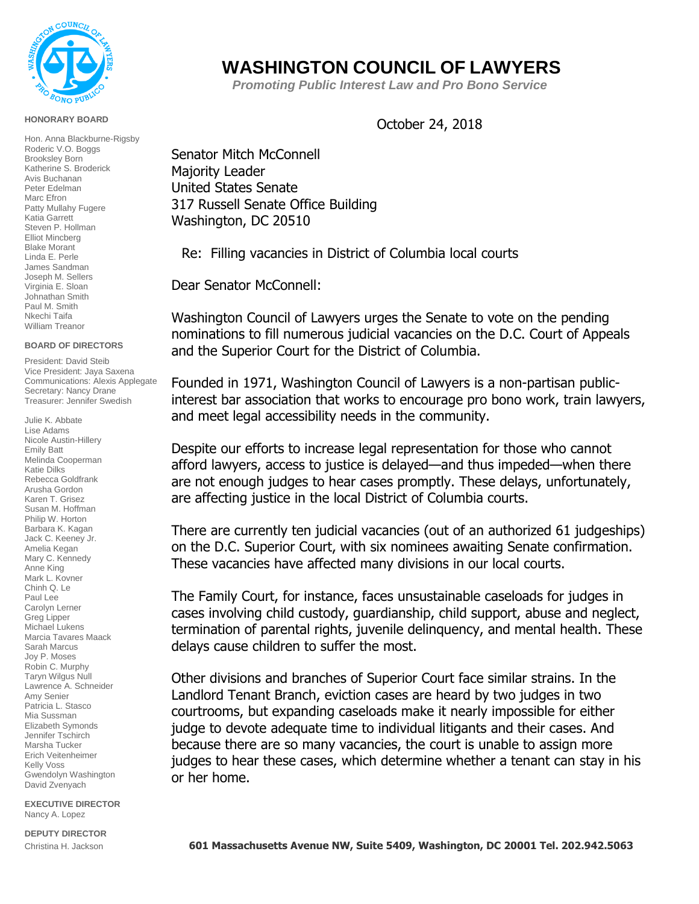

## **HONORARY BOARD**

Hon. Anna Blackburne-Rigsby Roderic V.O. Boggs Brooksley Born Katherine S. Broderick Avis Buchanan Peter Edelman Marc Efron Patty Mullahy Fugere Katia Garrett Steven P. Hollman Elliot Mincberg Blake Morant Linda E. Perle James Sandman Joseph M. Sellers Virginia E. Sloan Johnathan Smith Paul M. Smith Nkechi Taifa William Treanor

## **BOARD OF DIRECTORS**

President: David Steib Vice President: Jaya Saxena Communications: Alexis Applegate Secretary: Nancy Drane Treasurer: Jennifer Swedish

Julie K. Abbate Lise Adams Nicole Austin-Hillery Emily Batt Melinda Cooperman Katie Dilks Rebecca Goldfrank Arusha Gordon Karen T. Grisez Susan M. Hoffman Philip W. Horton Barbara K. Kagan Jack C. Keeney Jr. Amelia Kegan Mary C. Kennedy Anne King Mark L. Kovner Chinh Q. Le Paul Lee Carolyn Lerner Greg Lipper Michael Lukens Marcia Tavares Maack Sarah Marcus Joy P. Moses Robin C. Murphy Taryn Wilgus Null Lawrence A. Schneider Amy Senier Patricia L. Stasco Mia Sussman Elizabeth Symonds Jennifer Tschirch Marsha Tucker Erich Veitenheimer Kelly Voss Gwendolyn Washington David Zvenyach

**EXECUTIVE DIRECTOR**  Nancy A. Lopez

## **DEPUTY DIRECTOR**

## **WASHINGTON COUNCIL OF LAWYERS**

 *Promoting Public Interest Law and Pro Bono Service*

October 24, 2018

Senator Mitch McConnell Majority Leader United States Senate 317 Russell Senate Office Building Washington, DC 20510

Re: Filling vacancies in District of Columbia local courts

Dear Senator McConnell:

Washington Council of Lawyers urges the Senate to vote on the pending nominations to fill numerous judicial vacancies on the D.C. Court of Appeals and the Superior Court for the District of Columbia.

Founded in 1971, Washington Council of Lawyers is a non-partisan publicinterest bar association that works to encourage pro bono work, train lawyers, and meet legal accessibility needs in the community.

Despite our efforts to increase legal representation for those who cannot afford lawyers, access to justice is delayed—and thus impeded—when there are not enough judges to hear cases promptly. These delays, unfortunately, are affecting justice in the local District of Columbia courts.

There are currently ten judicial vacancies (out of an authorized 61 judgeships) on the D.C. Superior Court, with six nominees awaiting Senate confirmation. These vacancies have affected many divisions in our local courts.

The Family Court, for instance, faces unsustainable caseloads for judges in cases involving child custody, guardianship, child support, abuse and neglect, termination of parental rights, juvenile delinquency, and mental health. These delays cause children to suffer the most.

Other divisions and branches of Superior Court face similar strains. In the Landlord Tenant Branch, eviction cases are heard by two judges in two courtrooms, but expanding caseloads make it nearly impossible for either judge to devote adequate time to individual litigants and their cases. And because there are so many vacancies, the court is unable to assign more judges to hear these cases, which determine whether a tenant can stay in his or her home.